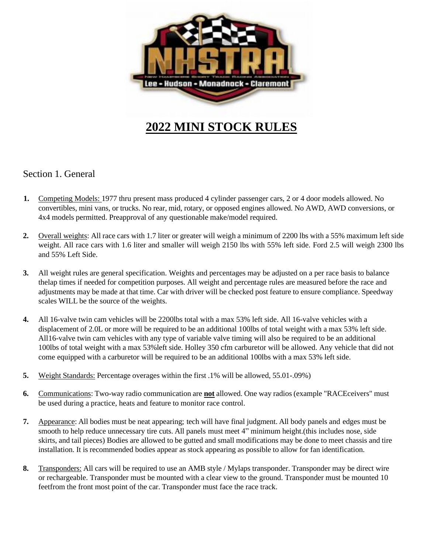

# **2022 MINI STOCK RULES**

## Section 1. General

- **1.** Competing Models: 1977 thru present mass produced 4 cylinder passenger cars, 2 or 4 door models allowed. No convertibles, mini vans, or trucks. No rear, mid, rotary, or opposed engines allowed. No AWD, AWD conversions, or 4x4 models permitted. Preapproval of any questionable make/model required.
- **2.** Overall weights: All race cars with 1.7 liter or greater will weigh a minimum of 2200 lbs with a 55% maximum left side weight. All race cars with 1.6 liter and smaller will weigh 2150 lbs with 55% left side. Ford 2.5 will weigh 2300 lbs and 55% Left Side.
- **3.** All weight rules are general specification. Weights and percentages may be adjusted on a per race basis to balance thelap times if needed for competition purposes. All weight and percentage rules are measured before the race and adjustments may be made at that time. Car with driver will be checked post feature to ensure compliance. Speedway scales WILL be the source of the weights.
- **4.** All 16-valve twin cam vehicles will be 2200lbs total with a max 53% left side. All 16-valve vehicles with a displacement of 2.0L or more will be required to be an additional 100lbs of total weight with a max 53% left side. All16-valve twin cam vehicles with any type of variable valve timing will also be required to be an additional 100lbs of total weight with a max 53%left side. Holley 350 cfm carburetor will be allowed. Any vehicle that did not come equipped with a carburetor will be required to be an additional 100lbs with a max 53% left side.
- **5.** Weight Standards: Percentage overages within the first .1% will be allowed, 55.01-.09%)
- **6.** Communications: Two-way radio communication are **not** allowed. One way radios (example "RACEceivers" must be used during a practice, heats and feature to monitor race control.
- **7.** Appearance: All bodies must be neat appearing; tech will have final judgment. All body panels and edges must be smooth to help reduce unnecessary tire cuts. All panels must meet 4" minimum height.(this includes nose, side skirts, and tail pieces) Bodies are allowed to be gutted and small modifications may be done to meet chassis and tire installation. It is recommended bodies appear as stock appearing as possible to allow for fan identification.
- **8.** Transponders: All cars will be required to use an AMB style / Mylaps transponder. Transponder may be direct wire or rechargeable. Transponder must be mounted with a clear view to the ground. Transponder must be mounted 10 feetfrom the front most point of the car. Transponder must face the race track.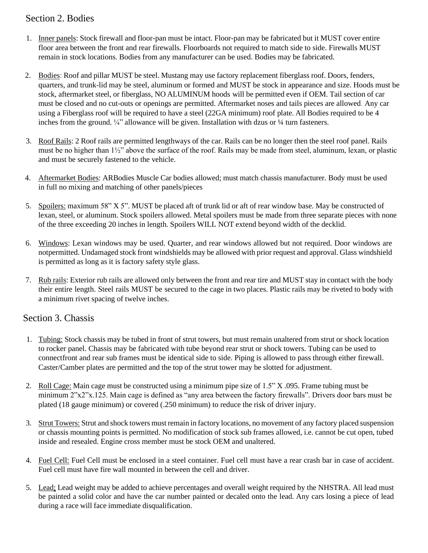# Section 2. Bodies

- 1. Inner panels: Stock firewall and floor-pan must be intact. Floor-pan may be fabricated but it MUST cover entire floor area between the front and rear firewalls. Floorboards not required to match side to side. Firewalls MUST remain in stock locations. Bodies from any manufacturer can be used. Bodies may be fabricated.
- 2. Bodies: Roof and pillar MUST be steel. Mustang may use factory replacement fiberglass roof. Doors, fenders, quarters, and trunk-lid may be steel, aluminum or formed and MUST be stock in appearance and size. Hoods must be stock, aftermarket steel, or fiberglass, NO ALUMINUM hoods will be permitted even if OEM. Tail section of car must be closed and no cut-outs or openings are permitted. Aftermarket noses and tails pieces are allowed. Any car using a Fiberglass roof will be required to have a steel (22GA minimum) roof plate. All Bodies required to be 4 inches from the ground.  $\frac{1}{4}$  allowance will be given. Installation with dzus or  $\frac{1}{4}$  turn fasteners.
- 3. Roof Rails: 2 Roof rails are permitted lengthways of the car. Rails can be no longer then the steel roof panel. Rails must be no higher than 1½" above the surface of the roof. Rails may be made from steel, aluminum, lexan, or plastic and must be securely fastened to the vehicle.
- 4. Aftermarket Bodies: ARBodies Muscle Car bodies allowed; must match chassis manufacturer. Body must be used in full no mixing and matching of other panels/pieces
- 5. Spoilers: maximum 58" X 5". MUST be placed aft of trunk lid or aft of rear window base. May be constructed of lexan, steel, or aluminum. Stock spoilers allowed. Metal spoilers must be made from three separate pieces with none of the three exceeding 20 inches in length. Spoilers WILL NOT extend beyond width of the decklid.
- 6. Windows: Lexan windows may be used. Quarter, and rear windows allowed but not required. Door windows are notpermitted. Undamaged stock front windshields may be allowed with prior request and approval. Glass windshield is permitted as long as it is factory safety style glass.
- 7. Rub rails: Exterior rub rails are allowed only between the front and rear tire and MUST stay in contact with the body their entire length. Steel rails MUST be secured to the cage in two places. Plastic rails may be riveted to body with a minimum rivet spacing of twelve inches.

## Section 3. Chassis

- 1. Tubing: Stock chassis may be tubed in front of strut towers, but must remain unaltered from strut or shock location to rocker panel. Chassis may be fabricated with tube beyond rear strut or shock towers. Tubing can be used to connectfront and rear sub frames must be identical side to side. Piping is allowed to pass through either firewall. Caster/Camber plates are permitted and the top of the strut tower may be slotted for adjustment.
- 2. Roll Cage: Main cage must be constructed using a minimum pipe size of 1.5" X .095. Frame tubing must be minimum 2"x2"x.125. Main cage is defined as "any area between the factory firewalls". Drivers door bars must be plated (18 gauge minimum) or covered (.250 minimum) to reduce the risk of driver injury.
- 3. Strut Towers: Strut and shock towers must remain in factory locations, no movement of any factory placed suspension or chassis mounting points is permitted. No modification of stock sub frames allowed, i.e. cannot be cut open, tubed inside and resealed. Engine cross member must be stock OEM and unaltered.
- 4. Fuel Cell: Fuel Cell must be enclosed in a steel container. Fuel cell must have a rear crash bar in case of accident. Fuel cell must have fire wall mounted in between the cell and driver.
- 5. Lead: Lead weight may be added to achieve percentages and overall weight required by the NHSTRA. All lead must be painted a solid color and have the car number painted or decaled onto the lead. Any cars losing a piece of lead during a race will face immediate disqualification.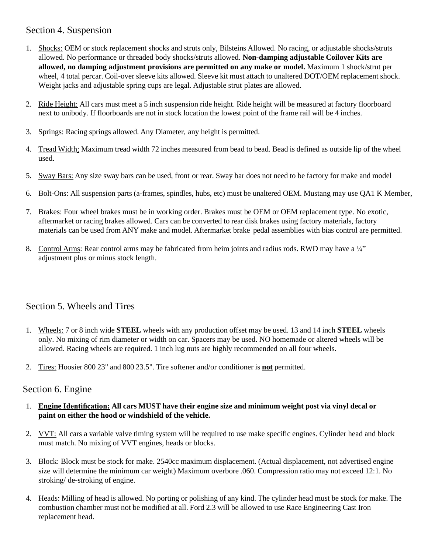## Section 4. Suspension

- 1. Shocks: OEM or stock replacement shocks and struts only, Bilsteins Allowed. No racing, or adjustable shocks/struts allowed. No performance or threaded body shocks/struts allowed. **Non-damping adjustable Coilover Kits are allowed, no damping adjustment provisions are permitted on any make or model.** Maximum 1 shock/strut per wheel, 4 total percar. Coil-over sleeve kits allowed. Sleeve kit must attach to unaltered DOT/OEM replacement shock. Weight jacks and adjustable spring cups are legal. Adjustable strut plates are allowed.
- 2. Ride Height: All cars must meet a 5 inch suspension ride height. Ride height will be measured at factory floorboard next to unibody. If floorboards are not in stock location the lowest point of the frame rail will be 4 inches.
- 3. Springs: Racing springs allowed. Any Diameter, any height is permitted.
- 4. Tread Width: Maximum tread width 72 inches measured from bead to bead. Bead is defined as outside lip of the wheel used.
- 5. Sway Bars: Any size sway bars can be used, front or rear. Sway bar does not need to be factory for make and model
- 6. Bolt-Ons: All suspension parts (a-frames, spindles, hubs, etc) must be unaltered OEM. Mustang may use QA1 K Member,
- 7. Brakes: Four wheel brakes must be in working order. Brakes must be OEM or OEM replacement type. No exotic, aftermarket or racing brakes allowed. Cars can be converted to rear disk brakes using factory materials, factory materials can be used from ANY make and model. Aftermarket brake pedal assemblies with bias control are permitted.
- 8. Control Arms: Rear control arms may be fabricated from heim joints and radius rods. RWD may have a ¼" adjustment plus or minus stock length.

## Section 5. Wheels and Tires

- 1. Wheels: 7 or 8 inch wide **STEEL** wheels with any production offset may be used. 13 and 14 inch **STEEL** wheels only. No mixing of rim diameter or width on car. Spacers may be used. NO homemade or altered wheels will be allowed. Racing wheels are required. 1 inch lug nuts are highly recommended on all four wheels.
- 2. Tires: Hoosier 800 23" and 800 23.5". Tire softener and/or conditioner is **not** permitted.

#### Section 6. Engine

- 1. **Engine Identification: All cars MUST have their engine size and minimum weight post via vinyl decal or paint on either the hood or windshield of the vehicle.**
- 2. VVT: All cars a variable valve timing system will be required to use make specific engines. Cylinder head and block must match. No mixing of VVT engines, heads or blocks.
- 3. Block: Block must be stock for make. 2540cc maximum displacement. (Actual displacement, not advertised engine size will determine the minimum car weight) Maximum overbore .060. Compression ratio may not exceed 12:1. No stroking/ de-stroking of engine.
- 4. Heads: Milling of head is allowed. No porting or polishing of any kind. The cylinder head must be stock for make. The combustion chamber must not be modified at all. Ford 2.3 will be allowed to use Race Engineering Cast Iron replacement head.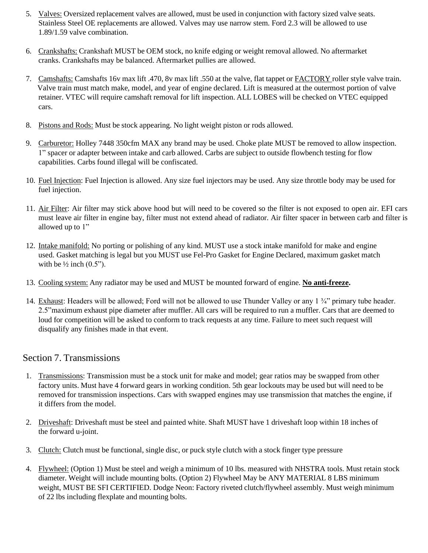- 5. Valves: Oversized replacement valves are allowed, must be used in conjunction with factory sized valve seats. Stainless Steel OE replacements are allowed. Valves may use narrow stem. Ford 2.3 will be allowed to use 1.89/1.59 valve combination.
- 6. Crankshafts: Crankshaft MUST be OEM stock, no knife edging or weight removal allowed. No aftermarket cranks. Crankshafts may be balanced. Aftermarket pullies are allowed.
- 7. Camshafts: Camshafts 16v max lift .470, 8v max lift .550 at the valve, flat tappet or FACTORY roller style valve train. Valve train must match make, model, and year of engine declared. Lift is measured at the outermost portion of valve retainer. VTEC will require camshaft removal for lift inspection. ALL LOBES will be checked on VTEC equipped cars.
- 8. Pistons and Rods: Must be stock appearing. No light weight piston or rods allowed.
- 9. Carburetor: Holley 7448 350cfm MAX any brand may be used. Choke plate MUST be removed to allow inspection. 1" spacer or adapter between intake and carb allowed. Carbs are subject to outside flowbench testing for flow capabilities. Carbs found illegal will be confiscated.
- 10. Fuel Injection: Fuel Injection is allowed. Any size fuel injectors may be used. Any size throttle body may be used for fuel injection.
- 11. Air Filter: Air filter may stick above hood but will need to be covered so the filter is not exposed to open air. EFI cars must leave air filter in engine bay, filter must not extend ahead of radiator. Air filter spacer in between carb and filter is allowed up to 1"
- 12. Intake manifold: No porting or polishing of any kind. MUST use a stock intake manifold for make and engine used. Gasket matching is legal but you MUST use Fel-Pro Gasket for Engine Declared, maximum gasket match with be  $\frac{1}{2}$  inch  $(0.5)$ .
- 13. Cooling system: Any radiator may be used and MUST be mounted forward of engine. **No anti-freeze.**
- 14. Exhaust: Headers will be allowed; Ford will not be allowed to use Thunder Valley or any 1 ¾" primary tube header. 2.5"maximum exhaust pipe diameter after muffler. All cars will be required to run a muffler. Cars that are deemed to loud for competition will be asked to conform to track requests at any time. Failure to meet such request will disqualify any finishes made in that event.

## Section 7. Transmissions

- 1. Transmissions: Transmission must be a stock unit for make and model; gear ratios may be swapped from other factory units. Must have 4 forward gears in working condition. 5th gear lockouts may be used but will need to be removed for transmission inspections. Cars with swapped engines may use transmission that matches the engine, if it differs from the model.
- 2. Driveshaft: Driveshaft must be steel and painted white. Shaft MUST have 1 driveshaft loop within 18 inches of the forward u-joint.
- 3. Clutch: Clutch must be functional, single disc, or puck style clutch with a stock finger type pressure
- 4. Flywheel: (Option 1) Must be steel and weigh a minimum of 10 lbs. measured with NHSTRA tools. Must retain stock diameter. Weight will include mounting bolts. (Option 2) Flywheel May be ANY MATERIAL 8 LBS minimum weight, MUST BE SFI CERTIFIED. Dodge Neon: Factory riveted clutch/flywheel assembly. Must weigh minimum of 22 lbs including flexplate and mounting bolts.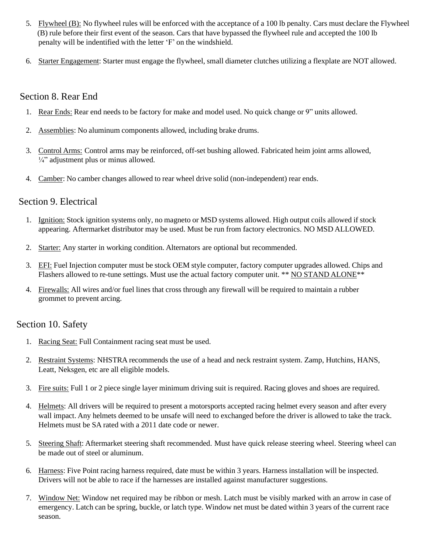- 5. Flywheel (B): No flywheel rules will be enforced with the acceptance of a 100 lb penalty. Cars must declare the Flywheel (B) rule before their first event of the season. Cars that have bypassed the flywheel rule and accepted the 100 lb penalty will be indentified with the letter 'F' on the windshield.
- 6. Starter Engagement: Starter must engage the flywheel, small diameter clutches utilizing a flexplate are NOT allowed.

#### Section 8. Rear End

- 1. Rear Ends: Rear end needs to be factory for make and model used. No quick change or 9" units allowed.
- 2. Assemblies: No aluminum components allowed, including brake drums.
- 3. Control Arms: Control arms may be reinforced, off-set bushing allowed. Fabricated heim joint arms allowed,  $\frac{1}{4}$ " adjustment plus or minus allowed.
- 4. Camber: No camber changes allowed to rear wheel drive solid (non-independent) rear ends.

### Section 9. Electrical

- 1. Ignition: Stock ignition systems only, no magneto or MSD systems allowed. High output coils allowed if stock appearing. Aftermarket distributor may be used. Must be run from factory electronics. NO MSD ALLOWED.
- 2. Starter: Any starter in working condition. Alternators are optional but recommended.
- 3. EFI: Fuel Injection computer must be stock OEM style computer, factory computer upgrades allowed. Chips and Flashers allowed to re-tune settings. Must use the actual factory computer unit. \*\* NO STAND ALONE\*\*
- 4. Firewalls: All wires and/or fuel lines that cross through any firewall will be required to maintain a rubber grommet to prevent arcing.

## Section 10. Safety

- 1. Racing Seat: Full Containment racing seat must be used.
- 2. Restraint Systems: NHSTRA recommends the use of a head and neck restraint system. Zamp, Hutchins, HANS, Leatt, Neksgen, etc are all eligible models.
- 3. Fire suits: Full 1 or 2 piece single layer minimum driving suit is required. Racing gloves and shoes are required.
- 4. Helmets: All drivers will be required to present a motorsports accepted racing helmet every season and after every wall impact. Any helmets deemed to be unsafe will need to exchanged before the driver is allowed to take the track. Helmets must be SA rated with a 2011 date code or newer.
- 5. Steering Shaft: Aftermarket steering shaft recommended. Must have quick release steering wheel. Steering wheel can be made out of steel or aluminum.
- 6. Harness: Five Point racing harness required, date must be within 3 years. Harness installation will be inspected. Drivers will not be able to race if the harnesses are installed against manufacturer suggestions.
- 7. Window Net: Window net required may be ribbon or mesh. Latch must be visibly marked with an arrow in case of emergency. Latch can be spring, buckle, or latch type. Window net must be dated within 3 years of the current race season.